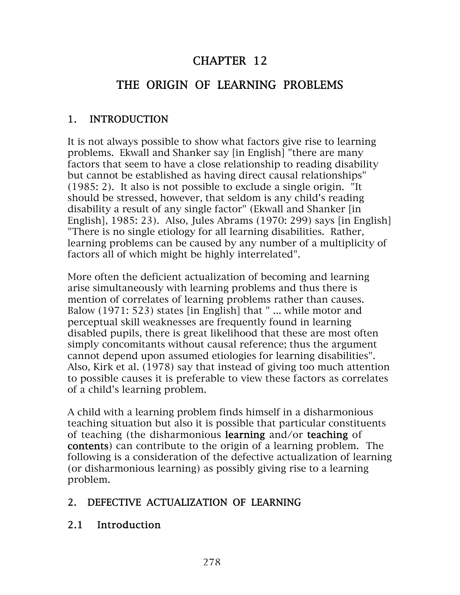## CHAPTER 12

# THE ORIGIN OF LEARNING PROBLEMS

#### 1. INTRODUCTION

It is not always possible to show what factors give rise to learning problems. Ekwall and Shanker say [in English] "there are many factors that seem to have a close relationship to reading disability but cannot be established as having direct causal relationships" (1985: 2). It also is not possible to exclude a single origin. "It should be stressed, however, that seldom is any child's reading disability a result of any single factor" (Ekwall and Shanker [in English], 1985: 23). Also, Jules Abrams (1970: 299) says [in English] "There is no single etiology for all learning disabilities. Rather, learning problems can be caused by any number of a multiplicity of factors all of which might be highly interrelated".

More often the deficient actualization of becoming and learning arise simultaneously with learning problems and thus there is mention of correlates of learning problems rather than causes. Balow (1971: 523) states [in English] that "... while motor and perceptual skill weaknesses are frequently found in learning disabled pupils, there is great likelihood that these are most often simply concomitants without causal reference; thus the argument cannot depend upon assumed etiologies for learning disabilities". Also, Kirk et al. (1978) say that instead of giving too much attention to possible causes it is preferable to view these factors as correlates of a child's learning problem.

A child with a learning problem finds himself in a disharmonious teaching situation but also it is possible that particular constituents of teaching (the disharmonious learning and/or teaching of contents) can contribute to the origin of a learning problem. The following is a consideration of the defective actualization of learning (or disharmonious learning) as possibly giving rise to a learning problem.

#### 2. DEFECTIVE ACTUALIZATION OF LEARNING

#### 2.1 Introduction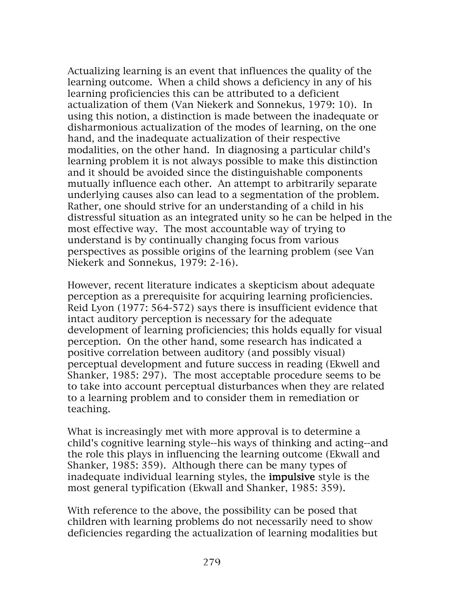Actualizing learning is an event that influences the quality of the learning outcome. When a child shows a deficiency in any of his learning proficiencies this can be attributed to a deficient actualization of them (Van Niekerk and Sonnekus, 1979: 10). In using this notion, a distinction is made between the inadequate or disharmonious actualization of the modes of learning, on the one hand, and the inadequate actualization of their respective modalities, on the other hand. In diagnosing a particular child's learning problem it is not always possible to make this distinction and it should be avoided since the distinguishable components mutually influence each other. An attempt to arbitrarily separate underlying causes also can lead to a segmentation of the problem. Rather, one should strive for an understanding of a child in his distressful situation as an integrated unity so he can be helped in the most effective way. The most accountable way of trying to understand is by continually changing focus from various perspectives as possible origins of the learning problem (see Van Niekerk and Sonnekus, 1979: 2-16).

However, recent literature indicates a skepticism about adequate perception as a prerequisite for acquiring learning proficiencies. Reid Lyon (1977: 564-572) says there is insufficient evidence that intact auditory perception is necessary for the adequate development of learning proficiencies; this holds equally for visual perception. On the other hand, some research has indicated a positive correlation between auditory (and possibly visual) perceptual development and future success in reading (Ekwell and Shanker, 1985: 297). The most acceptable procedure seems to be to take into account perceptual disturbances when they are related to a learning problem and to consider them in remediation or teaching.

What is increasingly met with more approval is to determine a child's cognitive learning style--his ways of thinking and acting--and the role this plays in influencing the learning outcome (Ekwall and Shanker, 1985: 359). Although there can be many types of inadequate individual learning styles, the impulsive style is the most general typification (Ekwall and Shanker, 1985: 359).

With reference to the above, the possibility can be posed that children with learning problems do not necessarily need to show deficiencies regarding the actualization of learning modalities but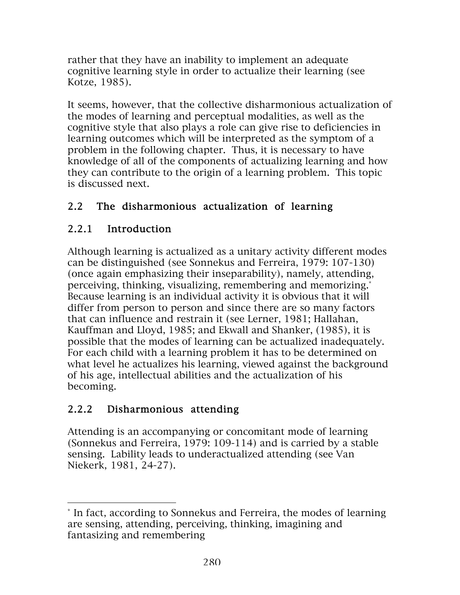rather that they have an inability to implement an adequate cognitive learning style in order to actualize their learning (see Kotze, 1985).

It seems, however, that the collective disharmonious actualization of the modes of learning and perceptual modalities, as well as the cognitive style that also plays a role can give rise to deficiencies in learning outcomes which will be interpreted as the symptom of a problem in the following chapter. Thus, it is necessary to have knowledge of all of the components of actualizing learning and how they can contribute to the origin of a learning problem. This topic is discussed next.

#### 2.2 The disharmonious actualization of learning

### 2.2.1 Introduction

Although learning is actualized as a unitary activity different modes can be distinguished (see Sonnekus and Ferreira, 1979: 107-130) (once again emphasizing their inseparability), namely, attending, perceiving, thinking, visualizing, remembering and memorizing.\* Because learning is an individual activity it is obvious that it will differ from person to person and since there are so many factors that can influence and restrain it (see Lerner, 1981; Hallahan, Kauffman and Lloyd, 1985; and Ekwall and Shanker, (1985), it is possible that the modes of learning can be actualized inadequately. For each child with a learning problem it has to be determined on what level he actualizes his learning, viewed against the background of his age, intellectual abilities and the actualization of his becoming.

### 2.2.2 Disharmonious attending

 $\overline{a}$ 

Attending is an accompanying or concomitant mode of learning (Sonnekus and Ferreira, 1979: 109-114) and is carried by a stable sensing. Lability leads to underactualized attending (see Van Niekerk, 1981, 24-27).

<sup>\*</sup> In fact, according to Sonnekus and Ferreira, the modes of learning are sensing, attending, perceiving, thinking, imagining and fantasizing and remembering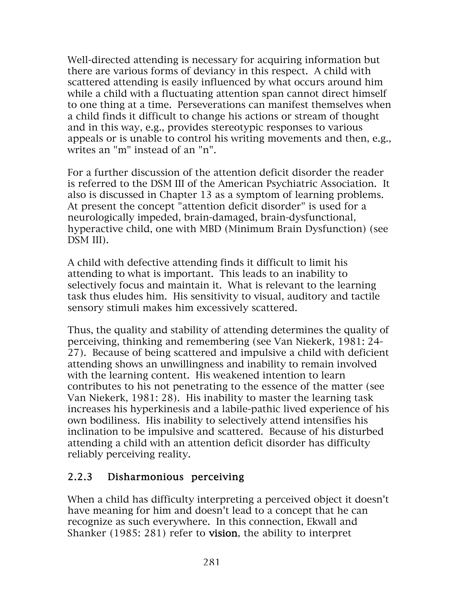Well-directed attending is necessary for acquiring information but there are various forms of deviancy in this respect. A child with scattered attending is easily influenced by what occurs around him while a child with a fluctuating attention span cannot direct himself to one thing at a time. Perseverations can manifest themselves when a child finds it difficult to change his actions or stream of thought and in this way, e.g., provides stereotypic responses to various appeals or is unable to control his writing movements and then, e.g., writes an "m" instead of an "n".

For a further discussion of the attention deficit disorder the reader is referred to the DSM III of the American Psychiatric Association. It also is discussed in Chapter 13 as a symptom of learning problems. At present the concept "attention deficit disorder" is used for a neurologically impeded, brain-damaged, brain-dysfunctional, hyperactive child, one with MBD (Minimum Brain Dysfunction) (see DSM III).

A child with defective attending finds it difficult to limit his attending to what is important. This leads to an inability to selectively focus and maintain it. What is relevant to the learning task thus eludes him. His sensitivity to visual, auditory and tactile sensory stimuli makes him excessively scattered.

Thus, the quality and stability of attending determines the quality of perceiving, thinking and remembering (see Van Niekerk, 1981: 24- 27). Because of being scattered and impulsive a child with deficient attending shows an unwillingness and inability to remain involved with the learning content. His weakened intention to learn contributes to his not penetrating to the essence of the matter (see Van Niekerk, 1981: 28). His inability to master the learning task increases his hyperkinesis and a labile-pathic lived experience of his own bodiliness. His inability to selectively attend intensifies his inclination to be impulsive and scattered. Because of his disturbed attending a child with an attention deficit disorder has difficulty reliably perceiving reality.

### 2.2.3 Disharmonious perceiving

When a child has difficulty interpreting a perceived object it doesn't have meaning for him and doesn't lead to a concept that he can recognize as such everywhere. In this connection, Ekwall and Shanker (1985: 281) refer to vision, the ability to interpret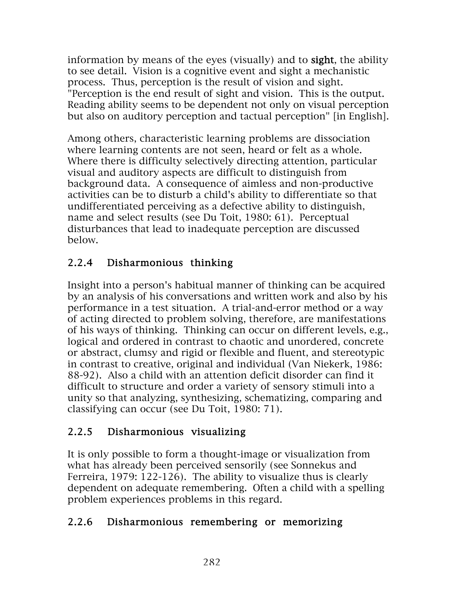information by means of the eyes (visually) and to sight, the ability to see detail. Vision is a cognitive event and sight a mechanistic process. Thus, perception is the result of vision and sight. "Perception is the end result of sight and vision. This is the output. Reading ability seems to be dependent not only on visual perception but also on auditory perception and tactual perception" [in English].

Among others, characteristic learning problems are dissociation where learning contents are not seen, heard or felt as a whole. Where there is difficulty selectively directing attention, particular visual and auditory aspects are difficult to distinguish from background data. A consequence of aimless and non-productive activities can be to disturb a child's ability to differentiate so that undifferentiated perceiving as a defective ability to distinguish, name and select results (see Du Toit, 1980: 61). Perceptual disturbances that lead to inadequate perception are discussed below.

### 2.2.4 Disharmonious thinking

Insight into a person's habitual manner of thinking can be acquired by an analysis of his conversations and written work and also by his performance in a test situation. A trial-and-error method or a way of acting directed to problem solving, therefore, are manifestations of his ways of thinking. Thinking can occur on different levels, e.g., logical and ordered in contrast to chaotic and unordered, concrete or abstract, clumsy and rigid or flexible and fluent, and stereotypic in contrast to creative, original and individual (Van Niekerk, 1986: 88-92). Also a child with an attention deficit disorder can find it difficult to structure and order a variety of sensory stimuli into a unity so that analyzing, synthesizing, schematizing, comparing and classifying can occur (see Du Toit, 1980: 71).

### 2.2.5 Disharmonious visualizing

It is only possible to form a thought-image or visualization from what has already been perceived sensorily (see Sonnekus and Ferreira, 1979: 122-126). The ability to visualize thus is clearly dependent on adequate remembering. Often a child with a spelling problem experiences problems in this regard.

#### 2.2.6 Disharmonious remembering or memorizing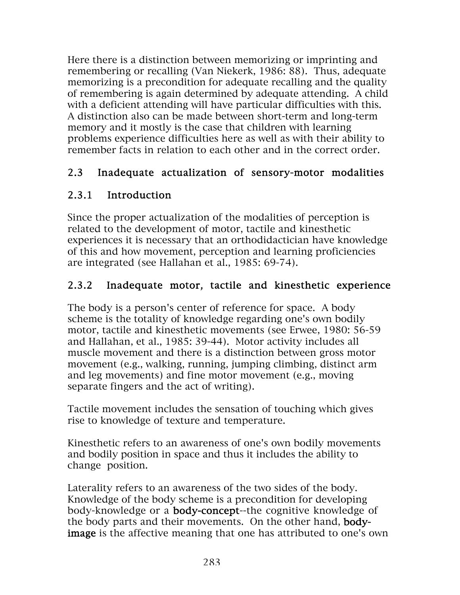Here there is a distinction between memorizing or imprinting and remembering or recalling (Van Niekerk, 1986: 88). Thus, adequate memorizing is a precondition for adequate recalling and the quality of remembering is again determined by adequate attending. A child with a deficient attending will have particular difficulties with this. A distinction also can be made between short-term and long-term memory and it mostly is the case that children with learning problems experience difficulties here as well as with their ability to remember facts in relation to each other and in the correct order.

### 2.3 Inadequate actualization of sensory-motor modalities

## 2.3.1 Introduction

Since the proper actualization of the modalities of perception is related to the development of motor, tactile and kinesthetic experiences it is necessary that an orthodidactician have knowledge of this and how movement, perception and learning proficiencies are integrated (see Hallahan et al., 1985: 69-74).

## 2.3.2 Inadequate motor, tactile and kinesthetic experience

The body is a person's center of reference for space. A body scheme is the totality of knowledge regarding one's own bodily motor, tactile and kinesthetic movements (see Erwee, 1980: 56-59 and Hallahan, et al., 1985: 39-44). Motor activity includes all muscle movement and there is a distinction between gross motor movement (e.g., walking, running, jumping climbing, distinct arm and leg movements) and fine motor movement (e.g., moving separate fingers and the act of writing).

Tactile movement includes the sensation of touching which gives rise to knowledge of texture and temperature.

Kinesthetic refers to an awareness of one's own bodily movements and bodily position in space and thus it includes the ability to change position.

Laterality refers to an awareness of the two sides of the body. Knowledge of the body scheme is a precondition for developing body-knowledge or a body-concept--the cognitive knowledge of the body parts and their movements. On the other hand, bodyimage is the affective meaning that one has attributed to one's own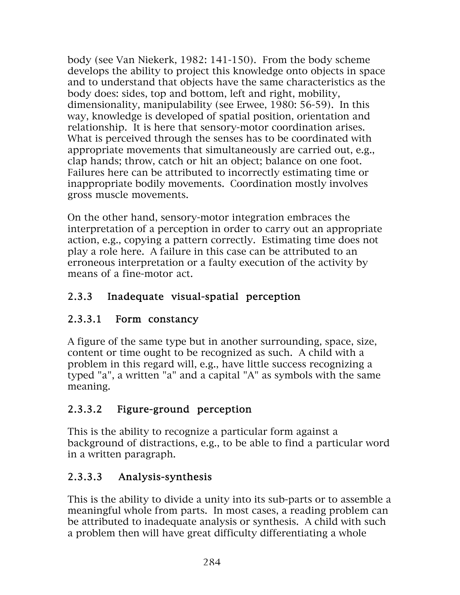body (see Van Niekerk, 1982: 141-150). From the body scheme develops the ability to project this knowledge onto objects in space and to understand that objects have the same characteristics as the body does: sides, top and bottom, left and right, mobility, dimensionality, manipulability (see Erwee, 1980: 56-59). In this way, knowledge is developed of spatial position, orientation and relationship. It is here that sensory-motor coordination arises. What is perceived through the senses has to be coordinated with appropriate movements that simultaneously are carried out, e.g., clap hands; throw, catch or hit an object; balance on one foot. Failures here can be attributed to incorrectly estimating time or inappropriate bodily movements. Coordination mostly involves gross muscle movements.

On the other hand, sensory-motor integration embraces the interpretation of a perception in order to carry out an appropriate action, e.g., copying a pattern correctly. Estimating time does not play a role here. A failure in this case can be attributed to an erroneous interpretation or a faulty execution of the activity by means of a fine-motor act.

## 2.3.3 Inadequate visual-spatial perception

## 2.3.3.1 Form constancy

A figure of the same type but in another surrounding, space, size, content or time ought to be recognized as such. A child with a problem in this regard will, e.g., have little success recognizing a typed "a", a written "a" and a capital "A" as symbols with the same meaning.

## 2.3.3.2 Figure-ground perception

This is the ability to recognize a particular form against a background of distractions, e.g., to be able to find a particular word in a written paragraph.

## 2.3.3.3 Analysis-synthesis

This is the ability to divide a unity into its sub-parts or to assemble a meaningful whole from parts. In most cases, a reading problem can be attributed to inadequate analysis or synthesis. A child with such a problem then will have great difficulty differentiating a whole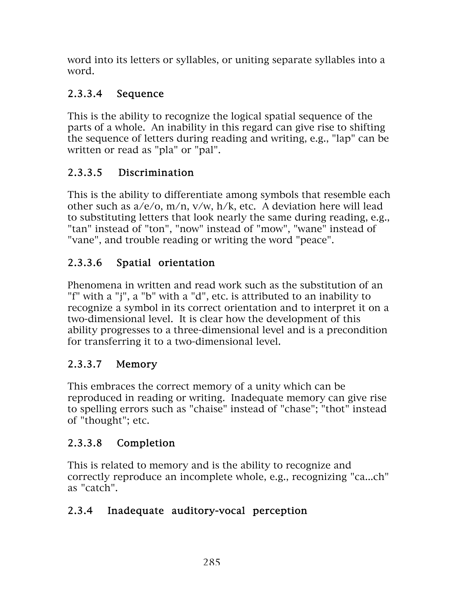word into its letters or syllables, or uniting separate syllables into a word.

## 2.3.3.4 Sequence

This is the ability to recognize the logical spatial sequence of the parts of a whole. An inability in this regard can give rise to shifting the sequence of letters during reading and writing, e.g., "lap" can be written or read as "pla" or "pal".

# 2.3.3.5 Discrimination

This is the ability to differentiate among symbols that resemble each other such as a/e/o, m/n, v/w, h/k, etc. A deviation here will lead to substituting letters that look nearly the same during reading, e.g., "tan" instead of "ton", "now" instead of "mow", "wane" instead of "vane", and trouble reading or writing the word "peace".

# 2.3.3.6 Spatial orientation

Phenomena in written and read work such as the substitution of an "f" with a "j", a "b" with a "d", etc. is attributed to an inability to recognize a symbol in its correct orientation and to interpret it on a two-dimensional level. It is clear how the development of this ability progresses to a three-dimensional level and is a precondition for transferring it to a two-dimensional level.

# 2.3.3.7 Memory

This embraces the correct memory of a unity which can be reproduced in reading or writing. Inadequate memory can give rise to spelling errors such as "chaise" instead of "chase"; "thot" instead of "thought"; etc.

## 2.3.3.8 Completion

This is related to memory and is the ability to recognize and correctly reproduce an incomplete whole, e.g., recognizing "ca...ch" as "catch".

## 2.3.4 Inadequate auditory-vocal perception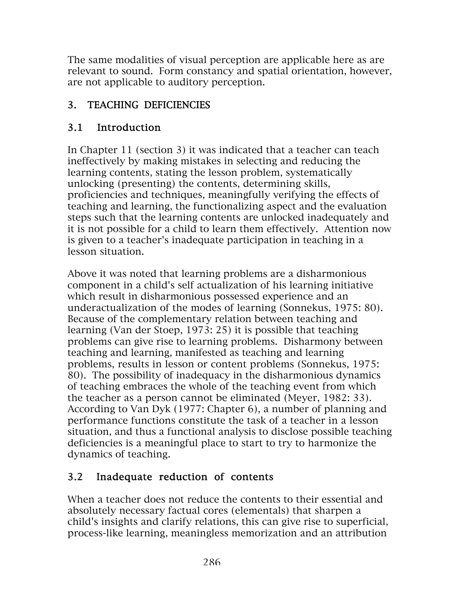The same modalities of visual perception are applicable here as are relevant to sound. Form constancy and spatial orientation, however, are not applicable to auditory perception.

### 3. TEACHING DEFICIENCIES

## 3.1 Introduction

In Chapter 11 (section 3) it was indicated that a teacher can teach ineffectively by making mistakes in selecting and reducing the learning contents, stating the lesson problem, systematically unlocking (presenting) the contents, determining skills, proficiencies and techniques, meaningfully verifying the effects of teaching and learning, the functionalizing aspect and the evaluation steps such that the learning contents are unlocked inadequately and it is not possible for a child to learn them effectively. Attention now is given to a teacher's inadequate participation in teaching in a lesson situation.

Above it was noted that learning problems are a disharmonious component in a child's self actualization of his learning initiative which result in disharmonious possessed experience and an underactualization of the modes of learning (Sonnekus, 1975: 80). Because of the complementary relation between teaching and learning (Van der Stoep, 1973: 25) it is possible that teaching problems can give rise to learning problems. Disharmony between teaching and learning, manifested as teaching and learning problems, results in lesson or content problems (Sonnekus, 1975: 80). The possibility of inadequacy in the disharmonious dynamics of teaching embraces the whole of the teaching event from which the teacher as a person cannot be eliminated (Meyer, 1982: 33). According to Van Dyk (1977: Chapter 6), a number of planning and performance functions constitute the task of a teacher in a lesson situation, and thus a functional analysis to disclose possible teaching deficiencies is a meaningful place to start to try to harmonize the dynamics of teaching.

## 3.2 Inadequate reduction of contents

When a teacher does not reduce the contents to their essential and absolutely necessary factual cores (elementals) that sharpen a child's insights and clarify relations, this can give rise to superficial, process-like learning, meaningless memorization and an attribution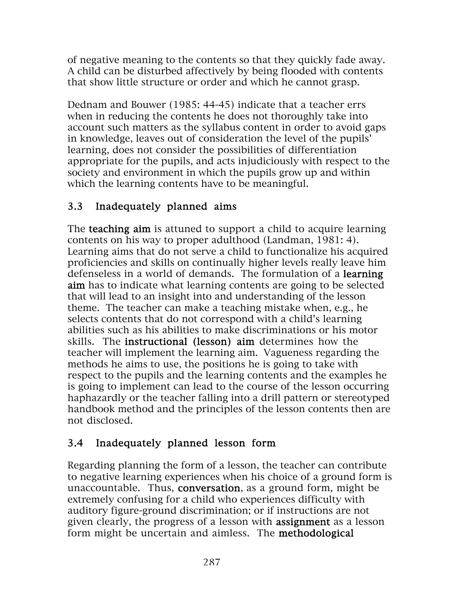of negative meaning to the contents so that they quickly fade away. A child can be disturbed affectively by being flooded with contents that show little structure or order and which he cannot grasp.

Dednam and Bouwer (1985: 44-45) indicate that a teacher errs when in reducing the contents he does not thoroughly take into account such matters as the syllabus content in order to avoid gaps in knowledge, leaves out of consideration the level of the pupils' learning, does not consider the possibilities of differentiation appropriate for the pupils, and acts injudiciously with respect to the society and environment in which the pupils grow up and within which the learning contents have to be meaningful.

#### 3.3 Inadequately planned aims

The **teaching aim** is attuned to support a child to acquire learning contents on his way to proper adulthood (Landman, 1981: 4). Learning aims that do not serve a child to functionalize his acquired proficiencies and skills on continually higher levels really leave him defenseless in a world of demands. The formulation of a learning aim has to indicate what learning contents are going to be selected that will lead to an insight into and understanding of the lesson theme. The teacher can make a teaching mistake when, e.g., he selects contents that do not correspond with a child's learning abilities such as his abilities to make discriminations or his motor skills. The instructional (lesson) aim determines how the teacher will implement the learning aim. Vagueness regarding the methods he aims to use, the positions he is going to take with respect to the pupils and the learning contents and the examples he is going to implement can lead to the course of the lesson occurring haphazardly or the teacher falling into a drill pattern or stereotyped handbook method and the principles of the lesson contents then are not disclosed.

### 3.4 Inadequately planned lesson form

Regarding planning the form of a lesson, the teacher can contribute to negative learning experiences when his choice of a ground form is unaccountable. Thus, conversation, as a ground form, might be extremely confusing for a child who experiences difficulty with auditory figure-ground discrimination; or if instructions are not given clearly, the progress of a lesson with assignment as a lesson form might be uncertain and aimless. The methodological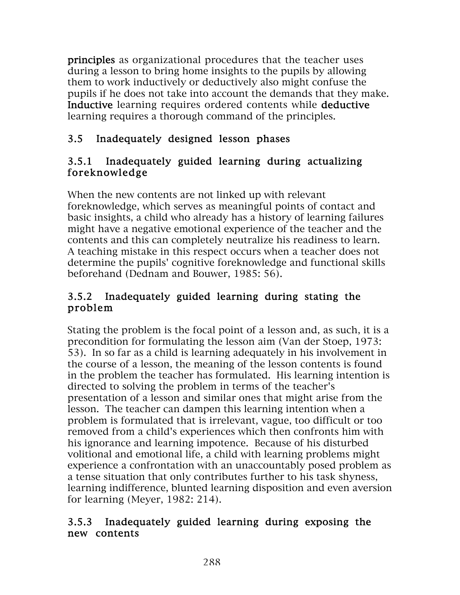principles as organizational procedures that the teacher uses during a lesson to bring home insights to the pupils by allowing them to work inductively or deductively also might confuse the pupils if he does not take into account the demands that they make. Inductive learning requires ordered contents while deductive learning requires a thorough command of the principles.

### 3.5 Inadequately designed lesson phases

#### 3.5.1 Inadequately guided learning during actualizing foreknowledge

When the new contents are not linked up with relevant foreknowledge, which serves as meaningful points of contact and basic insights, a child who already has a history of learning failures might have a negative emotional experience of the teacher and the contents and this can completely neutralize his readiness to learn. A teaching mistake in this respect occurs when a teacher does not determine the pupils' cognitive foreknowledge and functional skills beforehand (Dednam and Bouwer, 1985: 56).

#### 3.5.2 Inadequately guided learning during stating the problem

Stating the problem is the focal point of a lesson and, as such, it is a precondition for formulating the lesson aim (Van der Stoep, 1973: 53). In so far as a child is learning adequately in his involvement in the course of a lesson, the meaning of the lesson contents is found in the problem the teacher has formulated. His learning intention is directed to solving the problem in terms of the teacher's presentation of a lesson and similar ones that might arise from the lesson. The teacher can dampen this learning intention when a problem is formulated that is irrelevant, vague, too difficult or too removed from a child's experiences which then confronts him with his ignorance and learning impotence. Because of his disturbed volitional and emotional life, a child with learning problems might experience a confrontation with an unaccountably posed problem as a tense situation that only contributes further to his task shyness, learning indifference, blunted learning disposition and even aversion for learning (Meyer, 1982: 214).

#### 3.5.3 Inadequately guided learning during exposing the new contents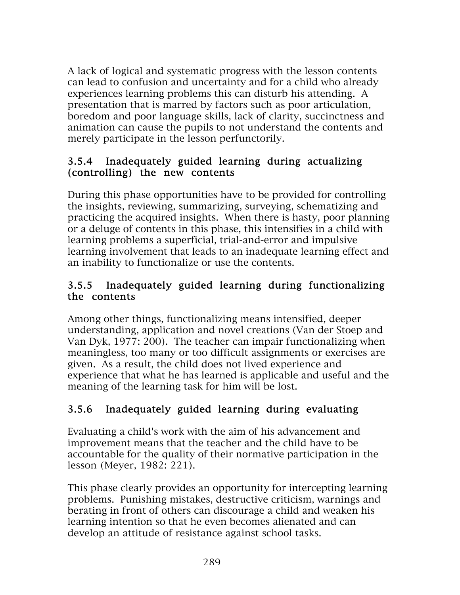A lack of logical and systematic progress with the lesson contents can lead to confusion and uncertainty and for a child who already experiences learning problems this can disturb his attending. A presentation that is marred by factors such as poor articulation, boredom and poor language skills, lack of clarity, succinctness and animation can cause the pupils to not understand the contents and merely participate in the lesson perfunctorily.

#### 3.5.4 Inadequately guided learning during actualizing (controlling) the new contents

During this phase opportunities have to be provided for controlling the insights, reviewing, summarizing, surveying, schematizing and practicing the acquired insights. When there is hasty, poor planning or a deluge of contents in this phase, this intensifies in a child with learning problems a superficial, trial-and-error and impulsive learning involvement that leads to an inadequate learning effect and an inability to functionalize or use the contents.

#### 3.5.5 Inadequately guided learning during functionalizing the contents

Among other things, functionalizing means intensified, deeper understanding, application and novel creations (Van der Stoep and Van Dyk, 1977: 200). The teacher can impair functionalizing when meaningless, too many or too difficult assignments or exercises are given. As a result, the child does not lived experience and experience that what he has learned is applicable and useful and the meaning of the learning task for him will be lost.

# 3.5.6 Inadequately guided learning during evaluating

Evaluating a child's work with the aim of his advancement and improvement means that the teacher and the child have to be accountable for the quality of their normative participation in the lesson (Meyer, 1982: 221).

This phase clearly provides an opportunity for intercepting learning problems. Punishing mistakes, destructive criticism, warnings and berating in front of others can discourage a child and weaken his learning intention so that he even becomes alienated and can develop an attitude of resistance against school tasks.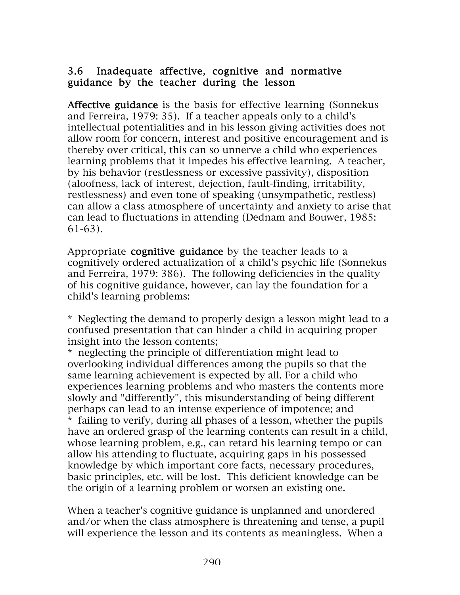#### 3.6 Inadequate affective, cognitive and normative guidance by the teacher during the lesson

Affective guidance is the basis for effective learning (Sonnekus and Ferreira, 1979: 35). If a teacher appeals only to a child's intellectual potentialities and in his lesson giving activities does not allow room for concern, interest and positive encouragement and is thereby over critical, this can so unnerve a child who experiences learning problems that it impedes his effective learning. A teacher, by his behavior (restlessness or excessive passivity), disposition (aloofness, lack of interest, dejection, fault-finding, irritability, restlessness) and even tone of speaking (unsympathetic, restless) can allow a class atmosphere of uncertainty and anxiety to arise that can lead to fluctuations in attending (Dednam and Bouwer, 1985: 61-63).

Appropriate cognitive guidance by the teacher leads to a cognitively ordered actualization of a child's psychic life (Sonnekus and Ferreira, 1979: 386). The following deficiencies in the quality of his cognitive guidance, however, can lay the foundation for a child's learning problems:

\* Neglecting the demand to properly design a lesson might lead to a confused presentation that can hinder a child in acquiring proper insight into the lesson contents;

\* neglecting the principle of differentiation might lead to overlooking individual differences among the pupils so that the same learning achievement is expected by all. For a child who experiences learning problems and who masters the contents more slowly and "differently", this misunderstanding of being different perhaps can lead to an intense experience of impotence; and \* failing to verify, during all phases of a lesson, whether the pupils have an ordered grasp of the learning contents can result in a child, whose learning problem, e.g., can retard his learning tempo or can allow his attending to fluctuate, acquiring gaps in his possessed knowledge by which important core facts, necessary procedures, basic principles, etc. will be lost. This deficient knowledge can be the origin of a learning problem or worsen an existing one.

When a teacher's cognitive guidance is unplanned and unordered and/or when the class atmosphere is threatening and tense, a pupil will experience the lesson and its contents as meaningless. When a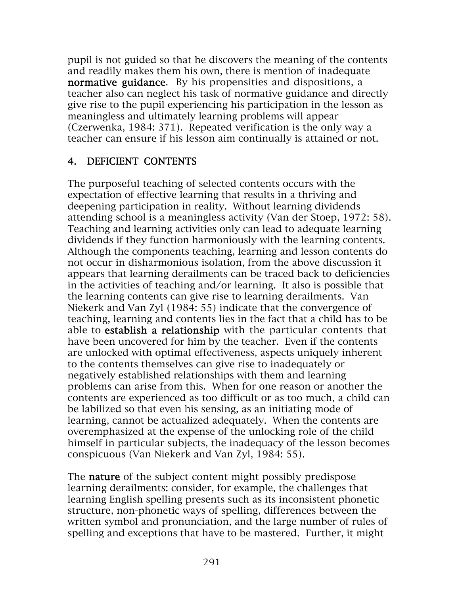pupil is not guided so that he discovers the meaning of the contents and readily makes them his own, there is mention of inadequate normative guidance. By his propensities and dispositions, a teacher also can neglect his task of normative guidance and directly give rise to the pupil experiencing his participation in the lesson as meaningless and ultimately learning problems will appear (Czerwenka, 1984: 371). Repeated verification is the only way a teacher can ensure if his lesson aim continually is attained or not.

#### 4. DEFICIENT CONTENTS

The purposeful teaching of selected contents occurs with the expectation of effective learning that results in a thriving and deepening participation in reality. Without learning dividends attending school is a meaningless activity (Van der Stoep, 1972: 58). Teaching and learning activities only can lead to adequate learning dividends if they function harmoniously with the learning contents. Although the components teaching, learning and lesson contents do not occur in disharmonious isolation, from the above discussion it appears that learning derailments can be traced back to deficiencies in the activities of teaching and/or learning. It also is possible that the learning contents can give rise to learning derailments. Van Niekerk and Van Zyl (1984: 55) indicate that the convergence of teaching, learning and contents lies in the fact that a child has to be able to establish a relationship with the particular contents that have been uncovered for him by the teacher. Even if the contents are unlocked with optimal effectiveness, aspects uniquely inherent to the contents themselves can give rise to inadequately or negatively established relationships with them and learning problems can arise from this. When for one reason or another the contents are experienced as too difficult or as too much, a child can be labilized so that even his sensing, as an initiating mode of learning, cannot be actualized adequately. When the contents are overemphasized at the expense of the unlocking role of the child himself in particular subjects, the inadequacy of the lesson becomes conspicuous (Van Niekerk and Van Zyl, 1984: 55).

The **nature** of the subject content might possibly predispose learning derailments: consider, for example, the challenges that learning English spelling presents such as its inconsistent phonetic structure, non-phonetic ways of spelling, differences between the written symbol and pronunciation, and the large number of rules of spelling and exceptions that have to be mastered. Further, it might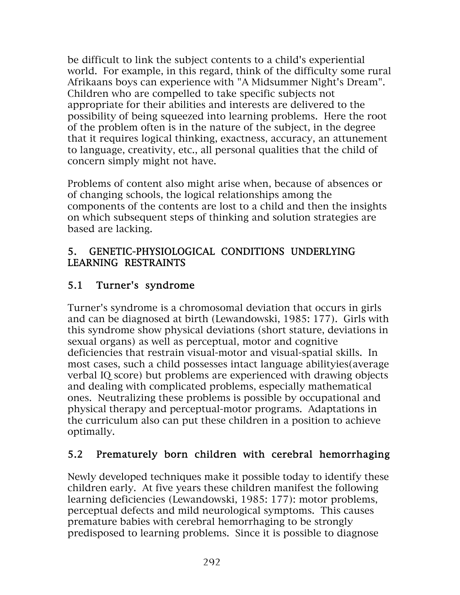be difficult to link the subject contents to a child's experiential world. For example, in this regard, think of the difficulty some rural Afrikaans boys can experience with "A Midsummer Night's Dream". Children who are compelled to take specific subjects not appropriate for their abilities and interests are delivered to the possibility of being squeezed into learning problems. Here the root of the problem often is in the nature of the subject, in the degree that it requires logical thinking, exactness, accuracy, an attunement to language, creativity, etc., all personal qualities that the child of concern simply might not have.

Problems of content also might arise when, because of absences or of changing schools, the logical relationships among the components of the contents are lost to a child and then the insights on which subsequent steps of thinking and solution strategies are based are lacking.

#### 5. GENETIC-PHYSIOLOGICAL CONDITIONS UNDERLYING LEARNING RESTRAINTS

### 5.1 Turner's syndrome

Turner's syndrome is a chromosomal deviation that occurs in girls and can be diagnosed at birth (Lewandowski, 1985: 177). Girls with this syndrome show physical deviations (short stature, deviations in sexual organs) as well as perceptual, motor and cognitive deficiencies that restrain visual-motor and visual-spatial skills. In most cases, such a child possesses intact language abilityies(average verbal IQ score) but problems are experienced with drawing objects and dealing with complicated problems, especially mathematical ones. Neutralizing these problems is possible by occupational and physical therapy and perceptual-motor programs. Adaptations in the curriculum also can put these children in a position to achieve optimally.

### 5.2 Prematurely born children with cerebral hemorrhaging

Newly developed techniques make it possible today to identify these children early. At five years these children manifest the following learning deficiencies (Lewandowski, 1985: 177): motor problems, perceptual defects and mild neurological symptoms. This causes premature babies with cerebral hemorrhaging to be strongly predisposed to learning problems. Since it is possible to diagnose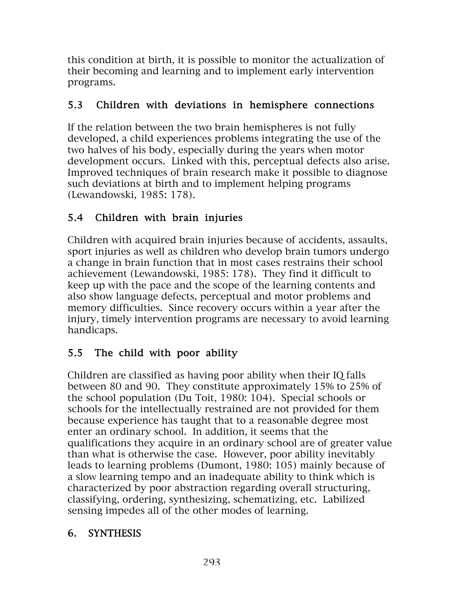this condition at birth, it is possible to monitor the actualization of their becoming and learning and to implement early intervention programs.

#### 5.3 Children with deviations in hemisphere connections

If the relation between the two brain hemispheres is not fully developed, a child experiences problems integrating the use of the two halves of his body, especially during the years when motor development occurs. Linked with this, perceptual defects also arise. Improved techniques of brain research make it possible to diagnose such deviations at birth and to implement helping programs (Lewandowski, 1985: 178).

#### 5.4 Children with brain injuries

Children with acquired brain injuries because of accidents, assaults, sport injuries as well as children who develop brain tumors undergo a change in brain function that in most cases restrains their school achievement (Lewandowski, 1985: 178). They find it difficult to keep up with the pace and the scope of the learning contents and also show language defects, perceptual and motor problems and memory difficulties. Since recovery occurs within a year after the injury, timely intervention programs are necessary to avoid learning handicaps.

### 5.5 The child with poor ability

Children are classified as having poor ability when their IQ falls between 80 and 90. They constitute approximately 15% to 25% of the school population (Du Toit, 1980: 104). Special schools or schools for the intellectually restrained are not provided for them because experience has taught that to a reasonable degree most enter an ordinary school. In addition, it seems that the qualifications they acquire in an ordinary school are of greater value than what is otherwise the case. However, poor ability inevitably leads to learning problems (Dumont, 1980: 105) mainly because of a slow learning tempo and an inadequate ability to think which is characterized by poor abstraction regarding overall structuring, classifying, ordering, synthesizing, schematizing, etc. Labilized sensing impedes all of the other modes of learning.

#### 6. SYNTHESIS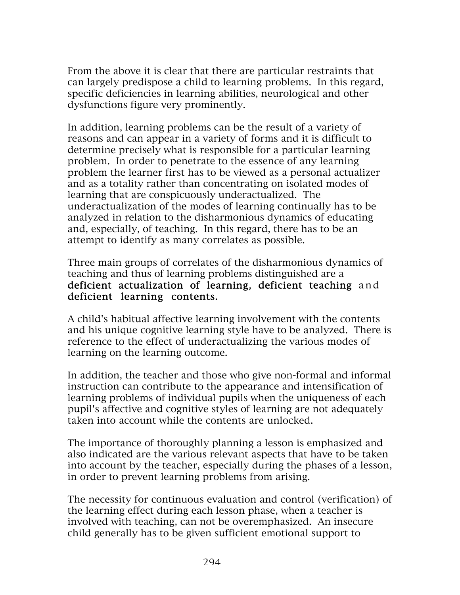From the above it is clear that there are particular restraints that can largely predispose a child to learning problems. In this regard, specific deficiencies in learning abilities, neurological and other dysfunctions figure very prominently.

In addition, learning problems can be the result of a variety of reasons and can appear in a variety of forms and it is difficult to determine precisely what is responsible for a particular learning problem. In order to penetrate to the essence of any learning problem the learner first has to be viewed as a personal actualizer and as a totality rather than concentrating on isolated modes of learning that are conspicuously underactualized. The underactualization of the modes of learning continually has to be analyzed in relation to the disharmonious dynamics of educating and, especially, of teaching. In this regard, there has to be an attempt to identify as many correlates as possible.

Three main groups of correlates of the disharmonious dynamics of teaching and thus of learning problems distinguished are a deficient actualization of learning, deficient teaching and deficient learning contents.

A child's habitual affective learning involvement with the contents and his unique cognitive learning style have to be analyzed. There is reference to the effect of underactualizing the various modes of learning on the learning outcome.

In addition, the teacher and those who give non-formal and informal instruction can contribute to the appearance and intensification of learning problems of individual pupils when the uniqueness of each pupil's affective and cognitive styles of learning are not adequately taken into account while the contents are unlocked.

The importance of thoroughly planning a lesson is emphasized and also indicated are the various relevant aspects that have to be taken into account by the teacher, especially during the phases of a lesson, in order to prevent learning problems from arising.

The necessity for continuous evaluation and control (verification) of the learning effect during each lesson phase, when a teacher is involved with teaching, can not be overemphasized. An insecure child generally has to be given sufficient emotional support to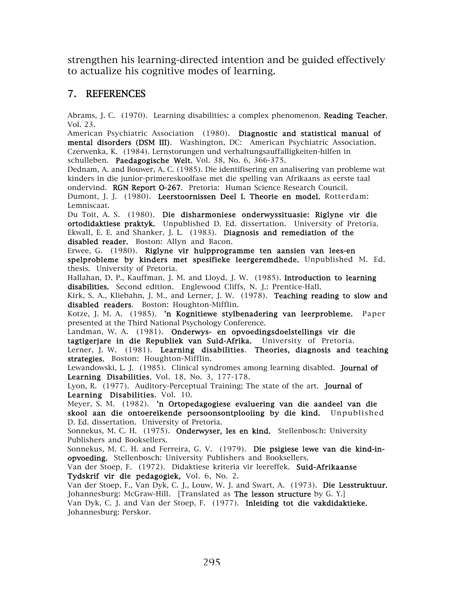strengthen his learning-directed intention and be guided effectively to actualize his cognitive modes of learning.

#### 7. REFERENCES

Abrams, J. C. (1970). Learning disabilities: a complex phenomenon. Reading Teacher, Vol. 23.

American Psychiatric Association (1980). Diagnostic and statistical manual of mental disorders (DSM III). Washington, DC: American Psychiatric Association. Czerwenka, K. (1984). Lernstorungen und verhaltungsauffalligkeiten-hilfen in schulleben. Paedagogische Welt, Vol. 38, No. 6, 366-375.

Dednam, A. and Bouwer, A. C. (1985). Die identifisering en analisering van probleme wat kinders in die junior-primereskoolfase met die spelling van Afrikaans as eerste taal ondervind. RGN Report O-267. Pretoria: Human Science Research Council.

Dumont, J. J. (1980). Leerstoornissen Deel I. Theorie en model. Rotterdam: Lemniscaat.

Du Toit, A. S. (1980). Die disharmoniese onderwyssituasie: Riglyne vir die ortodidaktiese praktyk. Unpublished D. Ed. dissertation. University of Pretoria. Ekwall, E. E. and Shanker, J. L. (1983). Diagnosis and remediation of the disabled reader. Boston: Allyn and Bacon.

Erwee, G. (1980). Riglyne vir hulpprogramme ten aansien van lees-en spelprobleme by kinders met spesifieke leergeremdhede. Unpublished M. Ed. thesis. University of Pretoria.

Hallahan, D. P., Kauffman, J. M. and Lloyd, J. W. (1985). Introduction to learning disabilities. Second edition. Englewood Cliffs, N. J.: Prentice-Hall.

Kirk, S. A., Kliebahn, J. M., and Lerner, J. W. (1978). **Teaching reading to slow and** disabled readers. Boston: Houghton-Mifflin.

Kotze, J. M. A. (1985). 'n Kognitiewe stylbenadering van leerprobleme. Paper presented at the Third National Psychology Conference.

Landman, W. A. (1981). Onderwys- en opvoedingsdoelstellings vir die tagtigerjare in die Republiek van Suid-Afrika. University of Pretoria.

Lerner, J. W. (1981). Learning disabilities. Theories, diagnosis and teaching strategies. Boston: Houghton-Mifflin.

Lewandowski, L. J. (1985). Clinical syndromes among learning disabled. Journal of Learning Disabilities, Vol. 18, No. 3, 177-178.

Lyon, R. (1977). Auditory-Perceptual Training; The state of the art. Journal of Learning Disabilities, Vol. 10.

Meyer, S. M. (1982). 'n Ortopedagogiese evaluering van die aandeel van die skool aan die ontoereikende persoonsontplooiing by die kind. Unpublished D. Ed. dissertation. University of Pretoria.

Sonnekus, M. C. H. (1975). Onderwyser, les en kind. Stellenbosch: University Publishers and Booksellers.

Sonnekus, M. C. H. and Ferreira, G. V. (1979). Die psigiese lewe van die kind-inopvoeding. Stellenbosch: University Publishers and Booksellers.

Van der Stoep, F. (1972). Didaktiese kriteria vir leereffek. Suid-Afrikaanse Tydskrif vir die pedagogiek, Vol. 6, No. 2.

Van der Stoep, F., Van Dyk, C. J., Louw, W. J. and Swart, A. (1973). Die Lesstruktuur. Johannesburg: McGraw-Hill. [Translated as **The lesson structure** by G. Y.]

Van Dyk, C. J. and Van der Stoep, F. (1977). Inleiding tot die vakdidaktieke. Johannesburg: Perskor.